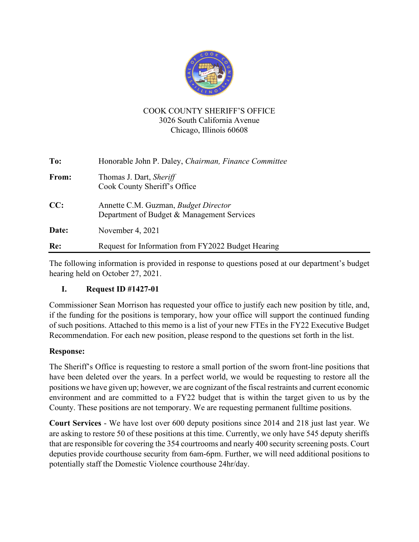

## COOK COUNTY SHERIFF'S OFFICE 3026 South California Avenue Chicago, Illinois 60608

| To:   | Honorable John P. Daley, Chairman, Finance Committee                                      |
|-------|-------------------------------------------------------------------------------------------|
| From: | Thomas J. Dart, Sheriff<br>Cook County Sheriff's Office                                   |
| CC:   | Annette C.M. Guzman, <i>Budget Director</i><br>Department of Budget & Management Services |
| Date: | November 4, 2021                                                                          |
| Re:   | Request for Information from FY2022 Budget Hearing                                        |

The following information is provided in response to questions posed at our department's budget hearing held on October 27, 2021.

## **I. Request ID #1427-01**

Commissioner Sean Morrison has requested your office to justify each new position by title, and, if the funding for the positions is temporary, how your office will support the continued funding of such positions. Attached to this memo is a list of your new FTEs in the FY22 Executive Budget Recommendation. For each new position, please respond to the questions set forth in the list.

## **Response:**

The Sheriff's Office is requesting to restore a small portion of the sworn front-line positions that have been deleted over the years. In a perfect world, we would be requesting to restore all the positions we have given up; however, we are cognizant of the fiscal restraints and current economic environment and are committed to a FY22 budget that is within the target given to us by the County. These positions are not temporary. We are requesting permanent fulltime positions.

**Court Services** - We have lost over 600 deputy positions since 2014 and 218 just last year. We are asking to restore 50 of these positions at this time. Currently, we only have 545 deputy sheriffs that are responsible for covering the 354 courtrooms and nearly 400 security screening posts. Court deputies provide courthouse security from 6am-6pm. Further, we will need additional positions to potentially staff the Domestic Violence courthouse 24hr/day.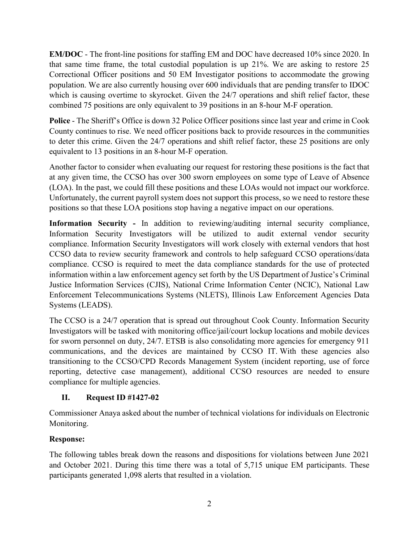**EM/DOC** - The front-line positions for staffing EM and DOC have decreased 10% since 2020. In that same time frame, the total custodial population is up 21%. We are asking to restore 25 Correctional Officer positions and 50 EM Investigator positions to accommodate the growing population. We are also currently housing over 600 individuals that are pending transfer to IDOC which is causing overtime to skyrocket. Given the 24/7 operations and shift relief factor, these combined 75 positions are only equivalent to 39 positions in an 8-hour M-F operation.

**Police** - The Sheriff's Office is down 32 Police Officer positions since last year and crime in Cook County continues to rise. We need officer positions back to provide resources in the communities to deter this crime. Given the 24/7 operations and shift relief factor, these 25 positions are only equivalent to 13 positions in an 8-hour M-F operation.

Another factor to consider when evaluating our request for restoring these positions is the fact that at any given time, the CCSO has over 300 sworn employees on some type of Leave of Absence (LOA). In the past, we could fill these positions and these LOAs would not impact our workforce. Unfortunately, the current payroll system does not support this process, so we need to restore these positions so that these LOA positions stop having a negative impact on our operations.

**Information Security -** In addition to reviewing/auditing internal security compliance, Information Security Investigators will be utilized to audit external vendor security compliance. Information Security Investigators will work closely with external vendors that host CCSO data to review security framework and controls to help safeguard CCSO operations/data compliance. CCSO is required to meet the data compliance standards for the use of protected information within a law enforcement agency set forth by the US Department of Justice's Criminal Justice Information Services (CJIS), National Crime Information Center (NCIC), National Law Enforcement Telecommunications Systems (NLETS), Illinois Law Enforcement Agencies Data Systems (LEADS).

The CCSO is a 24/7 operation that is spread out throughout Cook County. Information Security Investigators will be tasked with monitoring office/jail/court lockup locations and mobile devices for sworn personnel on duty, 24/7. ETSB is also consolidating more agencies for emergency 911 communications, and the devices are maintained by CCSO IT. With these agencies also transitioning to the CCSO/CPD Records Management System (incident reporting, use of force reporting, detective case management), additional CCSO resources are needed to ensure compliance for multiple agencies.

## **II. Request ID #1427-02**

Commissioner Anaya asked about the number of technical violations for individuals on Electronic Monitoring.

# **Response:**

The following tables break down the reasons and dispositions for violations between June 2021 and October 2021. During this time there was a total of 5,715 unique EM participants. These participants generated 1,098 alerts that resulted in a violation.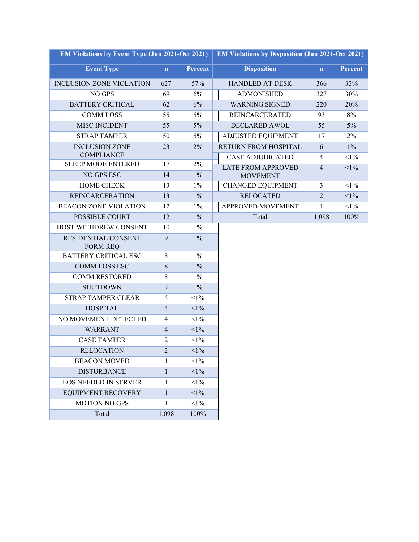| <b>EM Violations by Event Type (Jun 2021-Oct 2021)</b> | <b>EM Violations by Disposition (Jun 2021-Oct 2021)</b> |                |                             |                |         |
|--------------------------------------------------------|---------------------------------------------------------|----------------|-----------------------------|----------------|---------|
| <b>Event Type</b>                                      | $\mathbf n$                                             | <b>Percent</b> | <b>Disposition</b>          | $\mathbf{n}$   | Percent |
| <b>INCLUSION ZONE VIOLATION</b>                        | 627                                                     | 57%            | HANDLED AT DESK             | 366            | 33%     |
| NO GPS                                                 | 69                                                      | 6%             | <b>ADMONISHED</b>           | 327            | 30%     |
| <b>BATTERY CRITICAL</b>                                | 62                                                      | 6%             | <b>WARNING SIGNED</b>       | 220            | 20%     |
| <b>COMM LOSS</b>                                       | 55                                                      | 5%             | <b>REINCARCERATED</b>       | 93             | 8%      |
| MISC INCIDENT                                          | 55                                                      | $5\%$          | <b>DECLARED AWOL</b>        | 55             | $5\%$   |
| <b>STRAP TAMPER</b>                                    | 50                                                      | 5%             | ADJUSTED EQUIPMENT          | 17             | 2%      |
| <b>INCLUSION ZONE</b>                                  | 23                                                      | 2%             | <b>RETURN FROM HOSPITAL</b> | 6              | $1\%$   |
| <b>COMPLIANCE</b>                                      |                                                         |                | <b>CASE ADJUDICATED</b>     | $\overline{4}$ | $<1\%$  |
| <b>SLEEP MODE ENTERED</b>                              | 17                                                      | 2%             | <b>LATE FROM APPROVED</b>   | $\overline{4}$ | $<$ 1%  |
| NO GPS ESC                                             | 14                                                      | $1\%$          | <b>MOVEMENT</b>             |                |         |
| <b>HOME CHECK</b>                                      | 13                                                      | $1\%$          | <b>CHANGED EQUIPMENT</b>    | 3              | $<$ 1%  |
| <b>REINCARCERATION</b>                                 | 13                                                      | $1\%$          | <b>RELOCATED</b>            | $\overline{2}$ | $<$ 1%  |
| <b>BEACON ZONE VIOLATION</b>                           | 12                                                      | $1\%$          | APPROVED MOVEMENT           | $\mathbf{1}$   | $<1\%$  |
| <b>POSSIBLE COURT</b>                                  | 12                                                      | $1\%$          | Total                       | 1,098          | 100%    |
| HOST WITHDREW CONSENT                                  | 10                                                      | $1\%$          |                             |                |         |
| RESIDENTIAL CONSENT<br><b>FORM REQ</b>                 | 9                                                       | $1\%$          |                             |                |         |
| BATTERY CRITICAL ESC                                   | 8                                                       | $1\%$          |                             |                |         |
| <b>COMM LOSS ESC</b>                                   | 8                                                       | $1\%$          |                             |                |         |
| <b>COMM RESTORED</b>                                   | 8                                                       | $1\%$          |                             |                |         |
| <b>SHUTDOWN</b>                                        | $\overline{7}$                                          | $1\%$          |                             |                |         |
| <b>STRAP TAMPER CLEAR</b>                              | 5                                                       | $<1\%$         |                             |                |         |
| <b>HOSPITAL</b>                                        | $\overline{4}$                                          | $<1\%$         |                             |                |         |
| NO MOVEMENT DETECTED                                   | $\overline{4}$                                          | $<1\%$         |                             |                |         |
| <b>WARRANT</b>                                         | $\overline{4}$                                          | $<1\%$         |                             |                |         |
| <b>CASE TAMPER</b>                                     | $\overline{c}$                                          | $<$ 1%         |                             |                |         |
| <b>RELOCATION</b>                                      | $\overline{2}$                                          | $<$ l $%$      |                             |                |         |
| <b>BEACON MOVED</b>                                    | 1                                                       | $<$ 1%         |                             |                |         |
| <b>DISTURBANCE</b>                                     | $\mathbf{1}$                                            | $<$ l $%$      |                             |                |         |
| <b>EOS NEEDED IN SERVER</b>                            | 1                                                       | $<1\%$         |                             |                |         |
| <b>EQUIPMENT RECOVERY</b>                              | $\mathbf{1}$                                            | $<$ 1%         |                             |                |         |
| <b>MOTION NO GPS</b>                                   | 1                                                       | $<1\%$         |                             |                |         |
| Total                                                  | 1,098                                                   | 100%           |                             |                |         |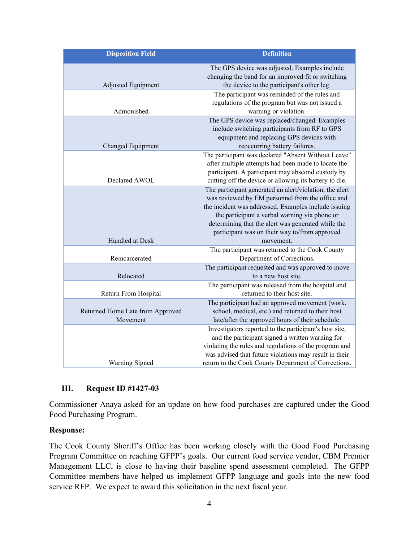| <b>Disposition Field</b>                     | <b>Definition</b>                                                                                                                                                                                                                                                                                                                        |
|----------------------------------------------|------------------------------------------------------------------------------------------------------------------------------------------------------------------------------------------------------------------------------------------------------------------------------------------------------------------------------------------|
| Adjusted Equipment                           | The GPS device was adjusted. Examples include<br>changing the band for an improved fit or switching<br>the device to the participant's other leg.                                                                                                                                                                                        |
| Admonished                                   | The participant was reminded of the rules and<br>regulations of the program but was not issued a<br>warning or violation.                                                                                                                                                                                                                |
| Changed Equipment                            | The GPS device was replaced/changed. Examples<br>include switching participants from RF to GPS<br>equipment and replacing GPS devices with<br>reoccurring battery failures.                                                                                                                                                              |
| Declared AWOL                                | The participant was declared "Absent Without Leave"<br>after multiple attempts had been made to locate the<br>participant. A participant may abscond custody by<br>cutting off the device or allowing its battery to die.                                                                                                                |
| Handled at Desk                              | The participant generated an alert/violation, the alert<br>was reviewed by EM personnel from the office and<br>the incident was addressed. Examples include issuing<br>the participant a verbal warning via phone or<br>determining that the alert was generated while the<br>participant was on their way to/from approved<br>movement. |
| Reincarcerated                               | The participant was returned to the Cook County<br>Department of Corrections.                                                                                                                                                                                                                                                            |
| Relocated                                    | The participant requested and was approved to move<br>to a new host site.                                                                                                                                                                                                                                                                |
| Return From Hospital                         | The participant was released from the hospital and<br>returned to their host site.                                                                                                                                                                                                                                                       |
| Returned Home Late from Approved<br>Movement | The participant had an approved movement (work,<br>school, medical, etc.) and returned to their host<br>late/after the approved hours of their schedule.                                                                                                                                                                                 |
| Warning Signed                               | Investigators reported to the participant's host site,<br>and the participant signed a written warning for<br>violating the rules and regulations of the program and<br>was advised that future violations may result in their<br>return to the Cook County Department of Corrections.                                                   |

## **III. Request ID #1427-03**

Commissioner Anaya asked for an update on how food purchases are captured under the Good Food Purchasing Program.

#### **Response:**

The Cook County Sheriff's Office has been working closely with the Good Food Purchasing Program Committee on reaching GFPP's goals. Our current food service vendor, CBM Premier Management LLC, is close to having their baseline spend assessment completed. The GFPP Committee members have helped us implement GFPP language and goals into the new food service RFP. We expect to award this solicitation in the next fiscal year.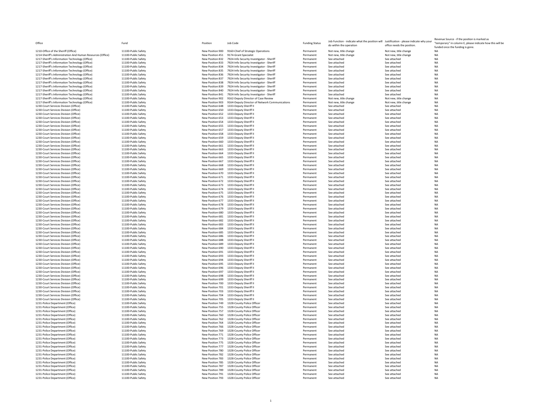| Office                                                                                           | Fund                                       | Position                             | Job Code                                                                               | <b>Funding Status</b>  | Job Function - indicate what the position will Justification - please indicate why your<br>do within the operation | office needs the position.   | Revenue Source - if the position is marked as<br>"temporary" in column E, please indicate how this will be<br>funded once the funding is gone. |
|--------------------------------------------------------------------------------------------------|--------------------------------------------|--------------------------------------|----------------------------------------------------------------------------------------|------------------------|--------------------------------------------------------------------------------------------------------------------|------------------------------|------------------------------------------------------------------------------------------------------------------------------------------------|
| 1210-Office of the Sheriff (Office)                                                              | 11100-Public Safety                        |                                      | New Position 900 9160-Chief of Strategic Operations                                    | Permanent              | Not new, title change                                                                                              | Not new, title change        |                                                                                                                                                |
| 1214-Sheriff's Administration And Human Resources (Office)                                       | 11100-Public Safety                        | New Position 451                     | 9174-Grant Specialist                                                                  | Permanent              | Not new, title change                                                                                              | Not new, title change        | <b>NA</b>                                                                                                                                      |
| 1217-Sheriff's Information Technology (Office)                                                   | 11100-Public Safety                        | New Position 832                     | 7924-Info Security Investigator - Sheriff                                              | Permanent              | See attached                                                                                                       | See attached                 | <b>NA</b>                                                                                                                                      |
| 1217-Sheriff's Information Technology (Office)                                                   | 11100-Public Safety                        | New Position 833                     | 7924-Info Security Investigator - Sheriff                                              | Permanent              | See attached                                                                                                       | See attached                 | <b>NA</b>                                                                                                                                      |
| 1217-Sheriff's Information Technology (Office)<br>1217-Sheriff's Information Technology (Office) | 11100-Public Safety<br>11100-Public Safety | New Position 834<br>New Position 835 | 7924-Info Security Investigator - Sheriff<br>7924-Info Security Investigator - Sheriff | Permanent<br>Permanent | See attached<br>See attached                                                                                       | See attached<br>See attached | <b>NA</b><br><b>NA</b>                                                                                                                         |
| 1217-Sheriff's Information Technology (Office                                                    | 11100-Public Safety                        | New Position 836                     | 7924-Info Security Investigator - Sheriff                                              | Permanent              | See attached                                                                                                       | See attached                 | <b>NA</b>                                                                                                                                      |
| 1217-Sheriff's Information Technology (Office)                                                   | 11100-Public Safety                        | New Position 837                     | 7924-Info Security Investigator - Sheriff                                              | Permanent              | See attached                                                                                                       | See attached                 | <b>NA</b>                                                                                                                                      |
| 1217-Sheriff's Information Technology (Office)                                                   | 11100-Public Safety                        | New Position 838                     | 7924-Info Security Investigator - Sheriff                                              | Permanent              | See attached                                                                                                       | See attached                 | <b>NA</b>                                                                                                                                      |
| 1217-Sheriff's Information Technology (Office                                                    | 11100-Public Safety                        | New Position 839                     | 7924-Info Security Investigator - Sheriff                                              | Permanent              | See attached                                                                                                       | See attached                 | <b>NA</b>                                                                                                                                      |
| 1217-Sheriff's Information Technology (Office)                                                   | 11100-Public Safety                        | New Position 840                     | 7924-Info Security Investigator - Sheriff                                              | Permanent              | See attached                                                                                                       | See attached                 | <b>NA</b>                                                                                                                                      |
| 1217-Sheriff's Information Technology (Office)                                                   | 11100-Public Safety                        | New Position 841                     | 7924-Info Security Investigator - Sheriff                                              | Permanent              | See attached                                                                                                       | See attached                 | <b>NA</b>                                                                                                                                      |
| 1217-Sheriff's Information Technology (Office)                                                   | 11100-Public Safety                        | New Position 902                     | 9162-Deputy Director of Case Review                                                    | Permanent              | Not new, title change                                                                                              | Not new, title change        | <b>NA</b>                                                                                                                                      |
| 1217-Sheriff's Information Technology (Office)                                                   | 11100-Public Safety                        | New Position 903                     | 9164-Deputy Director of Network Communications                                         | Permanent              | Not new, title change                                                                                              | Not new, title change        | <b>NA</b>                                                                                                                                      |
| 1230-Court Services Division (Office)                                                            | 11100-Public Safety                        | New Position 648                     | 1333-Denuty Sheriff II                                                                 | Permanent              | See attached                                                                                                       | See attached                 | <b>NA</b>                                                                                                                                      |
| 1230-Court Services Division (Office)                                                            | 11100-Public Safety                        | New Position 650                     | 1333-Deputy Sheriff II                                                                 | Permanent              | See attached                                                                                                       | See attached                 | <b>NA</b>                                                                                                                                      |
| 1230-Court Services Division (Office)                                                            | 11100-Public Safety                        | New Position 652                     | 1333-Denuty Sheriff II                                                                 | Permanent              | See attached                                                                                                       | See attached                 | <b>NA</b>                                                                                                                                      |
| 1230-Court Services Division (Office)                                                            | 11100-Public Safety                        | New Position 653                     | 1333-Deputy Sheriff II                                                                 | Permanent              | See attached                                                                                                       | See attached                 | NA                                                                                                                                             |
| 1230-Court Services Division (Office)                                                            | 11100-Public Safety                        | New Position 654                     | 1333-Deputy Sheriff II                                                                 | Permanent              | See attached                                                                                                       | See attached                 | <b>NA</b>                                                                                                                                      |
| 1230-Court Services Division (Office)                                                            | 11100-Public Safety                        | New Position 655                     | 1333-Deputy Sheriff II                                                                 | Permanent              | See attached                                                                                                       | See attached                 | <b>NA</b>                                                                                                                                      |
| 1230-Court Services Division (Office)                                                            | 11100-Public Safety                        | New Position 657                     | 1333-Deputy Sheriff II                                                                 | Permanent              | See attached                                                                                                       | See attached                 | <b>NA</b>                                                                                                                                      |
| 1230-Court Services Division (Office)                                                            | 11100-Public Safety                        | New Position 658                     | 1333-Deputy Sheriff II                                                                 | Permanent              | See attached                                                                                                       | See attached                 | <b>NA</b>                                                                                                                                      |
| 1230-Court Services Division (Office)                                                            | 11100-Public Safety                        | New Position 659                     | 1333-Deputy Sheriff II                                                                 | Permanent              | See attached                                                                                                       | See attached                 | <b>NA</b>                                                                                                                                      |
| 1230-Court Services Division (Office)                                                            | 11100-Public Safety                        | New Position 660                     | 1333-Denuty Sheriff II                                                                 | Permanent              | See attached                                                                                                       | See attached                 | <b>NA</b>                                                                                                                                      |
| 1230-Court Services Division (Office)                                                            | 11100-Public Safety                        | New Position 661                     | 1333-Deputy Sheriff II                                                                 | Permanent              | See attached                                                                                                       | See attached                 | <b>NA</b>                                                                                                                                      |
| 1230-Court Services Division (Office)<br>1230-Court Services Division (Office)                   | 11100-Public Safety<br>11100-Public Safety | New Position 664                     | New Position 663 1333-Deputy Sheriff II<br>1333-Deputy Sheriff II                      | Permanent<br>Permanent | See attached<br>See attached                                                                                       | See attached<br>See attached | <b>NA</b><br><b>NA</b>                                                                                                                         |
| 1230-Court Services Division (Office)                                                            | 11100-Public Safety                        | New Position 665                     | 1333-Deputy Sheriff II                                                                 | Permanent              | See attached                                                                                                       | See attached                 | <b>NA</b>                                                                                                                                      |
| 1230-Court Services Division (Office)                                                            | 11100-Public Safety                        | New Position 667                     | 1333-Deputy Sheriff II                                                                 | Permanent              | See attached                                                                                                       | See attached                 | <b>NA</b>                                                                                                                                      |
| 1230-Court Services Division (Office)                                                            | 11100-Public Safety                        | New Position 668                     | 1333-Deputy Sheriff II                                                                 | Permanent              | See attached                                                                                                       | See attached                 | <b>NA</b>                                                                                                                                      |
| 1230-Court Services Division (Office)                                                            | 11100-Public Safety                        | New Position 669                     | 1333-Deputy Sheriff II                                                                 | Permanent              | See attached                                                                                                       | See attached                 | <b>NA</b>                                                                                                                                      |
| 1230-Court Services Division (Office)                                                            | 11100-Public Safety                        | New Position 670                     | 1333-Deputy Sheriff II                                                                 | Permanent              | See attached                                                                                                       | See attached                 | <b>NA</b>                                                                                                                                      |
| 1230-Court Services Division (Office)                                                            | 11100-Public Safety                        |                                      | New Position 671 1333-Deputy Sheriff II                                                | Permanent              | See attached                                                                                                       | See attached                 | <b>NA</b>                                                                                                                                      |
| 1230-Court Services Division (Office)                                                            | 11100-Public Safety                        | New Position 672                     | 1333-Deputy Sheriff II                                                                 | Permanent              | See attached                                                                                                       | See attached                 | <b>NA</b>                                                                                                                                      |
| 1230-Court Services Division (Office)                                                            | 11100-Public Safety                        | New Position 673                     | 1333-Deputy Sheriff II                                                                 | Permanent              | See attached                                                                                                       | See attached                 | <b>NA</b>                                                                                                                                      |
| 1230-Court Services Division (Office)                                                            | 11100-Public Safety                        | New Position 674                     | 1333-Deputy Sheriff II                                                                 | Permanent              | See attached                                                                                                       | See attached                 | <b>NA</b>                                                                                                                                      |
| 1230-Court Services Division (Office)                                                            | 11100-Public Safety                        |                                      | New Position 675 1333-Deputy Sheriff II                                                | Permanent              | See attached                                                                                                       | See attached                 | <b>NA</b>                                                                                                                                      |
| 1230-Court Services Division (Office)                                                            | 11100-Public Safety                        | New Position 676                     | 1333-Deputy Sheriff II                                                                 | Permanent              | See attached                                                                                                       | See attached                 | <b>NA</b>                                                                                                                                      |
| 1230-Court Services Division (Office)                                                            | 11100-Public Safety                        | New Position 677                     | 1333-Deputy Sheriff II                                                                 | Permanent              | See attached                                                                                                       | See attached                 | <b>NA</b>                                                                                                                                      |
| 1230-Court Services Division (Office)                                                            | 11100-Public Safety                        | New Position 678                     | 1333-Deputy Sheriff II                                                                 | Permanent              | See attached                                                                                                       | See attached                 | <b>NA</b>                                                                                                                                      |
| 1230-Court Services Division (Office)                                                            | 11100-Public Safety                        | New Position 679                     | 1333-Deputy Sheriff II                                                                 | Permanent              | See attached                                                                                                       | See attached                 | NA                                                                                                                                             |
| 1230-Court Services Division (Office)                                                            | 11100-Public Safety                        | New Position 680                     | 1333-Deputy Sheriff II                                                                 | Permanent              | See attached                                                                                                       | See attached                 | <b>NA</b>                                                                                                                                      |
| 1230-Court Services Division (Office)                                                            | 11100-Public Safety                        | New Position 681                     | 1333-Deputy Sheriff II                                                                 | Permanent              | See attached                                                                                                       | See attached                 | NA                                                                                                                                             |
| 1230-Court Services Division (Office)                                                            | 11100-Public Safety                        | New Position 682                     | 1333-Denuty Sheriff II                                                                 | Permanent              | See attached                                                                                                       | See attached                 | <b>NA</b>                                                                                                                                      |
| 1230-Court Services Division (Office)                                                            | 11100-Public Safety                        | New Position 683                     | 1333-Deputy Sheriff II                                                                 | Permanent              | See attached                                                                                                       | See attached                 | <b>NA</b>                                                                                                                                      |
| 1230-Court Services Division (Office)                                                            | 11100-Public Safety<br>11100-Public Safety | New Position 684                     | 1333-Deputy Sheriff II<br>1333-Deputy Sheriff II                                       | Permanent              | See attached                                                                                                       | See attached                 | <b>NA</b><br><b>NA</b>                                                                                                                         |
| 1230-Court Services Division (Office)<br>1230-Court Services Division (Office)                   | 11100-Public Safety                        | New Position 685<br>New Position 686 | 1333-Deputy Sheriff II                                                                 | Permanent<br>Permanent | See attached<br>See attached                                                                                       | See attached<br>See attached | <b>NA</b>                                                                                                                                      |
| 1230-Court Services Division (Office)                                                            | 11100-Public Safety                        | New Position 688                     | 1333-Deputy Sheriff II                                                                 | Permanent              | See attached                                                                                                       | See attached                 | <b>NA</b>                                                                                                                                      |
| 1230-Court Services Division (Office)                                                            | 11100-Public Safety                        | New Position 689                     | 1333-Deputy Sheriff II                                                                 | Permanent              | See attached                                                                                                       | See attached                 | <b>NA</b>                                                                                                                                      |
| 1230-Court Services Division (Office)                                                            | 11100-Public Safety                        | New Position 690                     | 1333-Deputy Sheriff II                                                                 | Permanent              | See attached                                                                                                       | See attached                 | <b>NA</b>                                                                                                                                      |
| 1230-Court Services Division (Office)                                                            | 11100-Public Safety                        | New Position 691                     | 1333-Deputy Sheriff II                                                                 | Permanent              | See attached                                                                                                       | See attached                 | <b>NA</b>                                                                                                                                      |
| 1230-Court Services Division (Office)                                                            | 11100-Public Safety                        | New Position 693                     | 1333-Denuty Sheriff II                                                                 | Permanent              | See attached                                                                                                       | See attached                 | <b>NA</b>                                                                                                                                      |
| 1230-Court Services Division (Office)                                                            | 11100-Public Safety                        | New Position 694                     | 1333-Deputy Sheriff II                                                                 | Permanent              | See attached                                                                                                       | See attached                 | NA                                                                                                                                             |
| 1230-Court Services Division (Office)                                                            | 11100-Public Safety                        |                                      | New Position 695 1333-Deputy Sheriff II                                                | Permanent              | See attached                                                                                                       | See attached                 | <b>NA</b>                                                                                                                                      |
| 1230-Court Services Division (Office)                                                            | 11100-Public Safety                        | New Position 696                     | 1333-Deputy Sheriff II                                                                 | Permanent              | See attached                                                                                                       | See attached                 | <b>NA</b>                                                                                                                                      |
| 1230-Court Services Division (Office)                                                            | 11100-Public Safety                        | New Position 697                     | 1333-Deputy Sheriff II                                                                 | Permanent              | See attached                                                                                                       | See attached                 | <b>NA</b>                                                                                                                                      |
| 1230-Court Services Division (Office)                                                            | 11100-Public Safety                        | New Position 698                     | 1333-Deputy Sheriff II                                                                 | Permanent              | See attached                                                                                                       | See attached                 | <b>NA</b>                                                                                                                                      |
| 1230-Court Services Division (Office)                                                            | 11100-Public Safety                        | New Position 699                     | 1333-Deputy Sheriff II                                                                 | Permanent              | See attached                                                                                                       | See attached                 | <b>NA</b>                                                                                                                                      |
| 1230-Court Services Division (Office)                                                            | 11100-Public Safety                        | New Position 700                     | 1333-Deputy Sheriff II                                                                 | Permanent              | See attached                                                                                                       | See attached                 | <b>NA</b>                                                                                                                                      |
| 1230-Court Services Division (Office)                                                            | 11100-Public Safety                        | New Position 701                     | 1333-Deputy Sheriff II                                                                 | Permanent              | See attached                                                                                                       | See attached                 | <b>NA</b>                                                                                                                                      |
| 1230-Court Services Division (Office)                                                            | 11100-Public Safety                        | New Position 703                     | 1333-Deputy Sheriff II                                                                 | Permanent              | See attached                                                                                                       | See attached                 | <b>NA</b>                                                                                                                                      |
| 1230-Court Services Division (Office)                                                            | 11100-Public Safety                        | New Position 704                     | 1333-Deputy Sheriff II                                                                 | Permanent              | See attached                                                                                                       | See attached                 | <b>NA</b>                                                                                                                                      |
| 1230-Court Services Division (Office)                                                            | 11100-Public Safety                        | New Position 705                     | 1333-Deputy Sheriff II                                                                 | Permanent              | See attached                                                                                                       | See attached                 | <b>NA</b><br><b>NA</b>                                                                                                                         |
| 1231-Police Department (Office)<br>1231-Police Department (Office)                               | 11100-Public Safety<br>11100-Public Safety | New Position 749<br>New Position 755 | 1328-County Police Officer<br>1328-County Police Officer                               | Permanent<br>Permanent | See attached<br>See attached                                                                                       | See attached<br>See attached | <b>NA</b>                                                                                                                                      |
| 1231-Police Department (Office)                                                                  | 11100-Public Safety                        | New Position 757                     | 1328-County Police Officer                                                             | Permanent              | See attached                                                                                                       | See attached                 | <b>NA</b>                                                                                                                                      |
| 1231-Police Department (Office)                                                                  | 11100-Public Safety                        | New Position 760                     | 1328-County Police Officer                                                             | Permanent              | See attached                                                                                                       | See attached                 | <b>NA</b>                                                                                                                                      |
| 1231-Police Department (Office)                                                                  | 11100-Public Safety                        | New Position 762                     | 1328-County Police Officer                                                             | Permanent              | See attached                                                                                                       | See attached                 | <b>NA</b>                                                                                                                                      |
| 1231-Police Department (Office)                                                                  | 11100-Public Safety                        | New Position 764                     | 1328-County Police Officer                                                             | Permanent              | See attached                                                                                                       | See attached                 | NA                                                                                                                                             |
| 1231-Police Department (Office)                                                                  | 11100-Public Safety                        | New Position 766                     | 1328-County Police Officer                                                             | Permanent              | See attached                                                                                                       | See attached                 | <b>NA</b>                                                                                                                                      |
| 1231-Police Department (Office)                                                                  | 11100-Public Safety                        | New Position 769                     | 1328-County Police Officer                                                             | Permanent              | See attached                                                                                                       | See attached                 | NA                                                                                                                                             |
| 1231-Police Department (Office)                                                                  | 11100-Public Safety                        | New Position 771                     | 1328-County Police Officer                                                             | Permanent              | See attached                                                                                                       | See attached                 | <b>NA</b>                                                                                                                                      |
| 1231-Police Department (Office)                                                                  | 11100-Public Safety                        | New Position 773                     | 1328-County Police Officer                                                             | Permanent              | See attached                                                                                                       | See attached                 | <b>NA</b>                                                                                                                                      |
| 1231-Police Department (Office)                                                                  | 11100-Public Safety                        | New Position 775                     | 1328-County Police Officer                                                             | Permanent              | See attached                                                                                                       | See attached                 | <b>NA</b>                                                                                                                                      |
| 1231-Police Department (Office)                                                                  | 11100-Public Safety                        | New Position 777                     | 1328-County Police Officer                                                             | Permanent              | See attached                                                                                                       | See attached                 | <b>NA</b>                                                                                                                                      |
| 1231-Police Department (Office)                                                                  | 11100-Public Safety                        | New Position 780                     | 1328-County Police Officer                                                             | Permanent              | See attached                                                                                                       | See attached                 | <b>NA</b>                                                                                                                                      |
| 1231-Police Department (Office)                                                                  | 11100-Public Safety                        | New Position 782                     | 1328-County Police Officer                                                             | Permanent              | See attached                                                                                                       | See attached                 | <b>NA</b>                                                                                                                                      |
| 1231-Police Department (Office)                                                                  | 11100-Public Safety                        | New Position 783                     | 1328-County Police Officer                                                             | Permanent              | See attached                                                                                                       | See attached                 | <b>NA</b>                                                                                                                                      |
| 1231-Police Department (Office)                                                                  | 11100-Public Safety                        | New Position 785                     | 1328-County Police Officer                                                             | Permanent              | See attached                                                                                                       | See attached                 | <b>NA</b>                                                                                                                                      |
| 1231-Police Department (Office)                                                                  | 11100-Public Safety                        | New Position 787                     | 1328-County Police Officer                                                             | Permanent              | See attached                                                                                                       | See attached                 | <b>NA</b>                                                                                                                                      |
| 1231-Police Department (Office)                                                                  | 11100-Public Safety                        | New Position 789                     | 1328-County Police Officer                                                             | Permanent              | See attached                                                                                                       | See attached                 | <b>NA</b>                                                                                                                                      |
| 1231-Police Department (Office)                                                                  | 11100-Public Safety                        |                                      | New Position 791 1328-County Police Officer                                            | Permanent              | See attached                                                                                                       | See attached                 | <b>NA</b>                                                                                                                                      |
| 1231-Police Department (Office)                                                                  | 11100-Public Safety                        |                                      | New Position 793 1328-County Police Officer                                            | Permanent              | See attached                                                                                                       | See attached                 | <b>NA</b>                                                                                                                                      |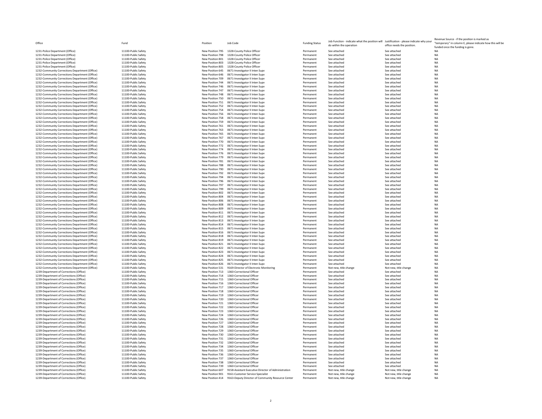| 1231-Police Department (Office)                                                                  |
|--------------------------------------------------------------------------------------------------|
| 1231-Police Department (Office)                                                                  |
| 1231-Police Department (Office)                                                                  |
| 1231-Police Department (Office)                                                                  |
| 1231-Police Department (Office)                                                                  |
| 1232-Community Corrections Department (Office)                                                   |
| 1232-Community Corrections Department (Office)                                                   |
| 1232-Community Corrections Department (Office)                                                   |
| 1232-Community Corrections Department (Office)                                                   |
| 1232-Community Corrections Department (Office)                                                   |
| 1232-Community Corrections Department (Office)                                                   |
| 1232-Community Corrections Department (Office)                                                   |
| 1232-Community Corrections Department (Office)                                                   |
| 1232-Community Corrections Department (Office)                                                   |
| 1232-Community Corrections Department (Office)                                                   |
| 1232-Community Corrections Department (Office)                                                   |
| 1232-Community Corrections Department (Office)                                                   |
| 1232-Community Corrections Department (Office)                                                   |
| 1232-Community Corrections Department (Office)                                                   |
| 1232-Community Corrections Department (Office)                                                   |
| 1232-Community Corrections Department (Office)<br>1232-Community Corrections Department (Office) |
|                                                                                                  |
| 1232-Community Corrections Department (Office)                                                   |
| 1232-Community Corrections Department (Office)                                                   |
| 1232-Community Corrections Department (Office)                                                   |
| 1232-Community Corrections Department (Office)                                                   |
| 1232-Community Corrections Department (Office)                                                   |
| 1232-Community Corrections Department (Office)                                                   |
| 1232-Community Corrections Department (Office)                                                   |
| 1232-Community Corrections Department (Office)                                                   |
| 1232-Community Corrections Department (Office)                                                   |
| 1232-Community Corrections Department (Office)                                                   |
| 1232-Community Corrections Department (Office)                                                   |
| 1232-Community Corrections Department (Office)                                                   |
| 1232-Community Corrections Department (Office)                                                   |
| 1232-Community Corrections Department (Office)                                                   |
| 1232-Community Corrections Department (Office)                                                   |
| 1232-Community Corrections Department (Office)                                                   |
| 1232-Community Corrections Department (Office)                                                   |
| 1232-Community Corrections Department (Office)                                                   |
| 1232-Community Corrections Department (Office)                                                   |
| 1232-Community Corrections Department (Office)                                                   |
| 1232-Community Corrections Department (Office)                                                   |
| 1232-Community Corrections Department (Office)                                                   |
| 1232-Community Corrections Department (Office)                                                   |
| 1232-Community Corrections Department (Office)                                                   |
|                                                                                                  |
| 1232-Community Corrections Department (Office)                                                   |
| 1232-Community Corrections Department (Office)                                                   |
| 1232-Community Corrections Department (Office)                                                   |
| 1232-Community Corrections Department (Office)                                                   |
| 1232-Community Corrections Department (Office)                                                   |
| 1232-Community Corrections Department (Office)                                                   |
| 1232-Community Corrections Department (Office)                                                   |
| 1232-Community Corrections Department (Office)                                                   |
| 1232-Community Corrections Department (Office)                                                   |
| 1232-Community Corrections Department (Office)                                                   |
| 1239-Department of Corrections (Office)                                                          |
| 1239-Department of Corrections (Office)                                                          |
| 1239-Department of Corrections (Office)                                                          |
| 1239-Department of Corrections (Office)                                                          |
| 1239-Department of Corrections (Office)                                                          |
| 1239-Department of Corrections (Office)                                                          |
| 1239-Department of Corrections (Office)                                                          |
| 1239-Department of Corrections (Office)                                                          |
| 1239-Department of Corrections (Office)                                                          |
| 1239-Department of Corrections (Office)                                                          |
| 1239-Department of Corrections (Office)                                                          |
| 1239-Department of Corrections (Office)                                                          |
| 1239-Department of Corrections (Office)                                                          |
| 1239-Department of Corrections (Office)                                                          |
| 1239-Department of Corrections (Office)                                                          |
| 1239-Department of Corrections (Office)                                                          |
| 1239-Department of Corrections (Office)                                                          |
| 1239-Department of Corrections (Office)                                                          |
| 1239-Department of Corrections (Office)                                                          |
| 1239-Department of Corrections (Office)                                                          |
| 1239-Department of Corrections (Office)                                                          |
| 1239-Department of Corrections (Office)                                                          |
| 1239-Department of Corrections (Office)                                                          |
| 1239-Department of Corrections (Office)                                                          |
| 1239-Department of Corrections (Office)                                                          |
| 1239-Department of Corrections (Office)                                                          |
| 1239-Department of Corrections (Office)<br>1239-Department of Corrections (Office)               |

| 11100-Public Safety                                |
|----------------------------------------------------|
| 11100-Public Safety                                |
| 11100<br>Public Safe                               |
| Public Safet<br>11100                              |
| 11100<br>Public Safety                             |
| $\mathbf{1}$<br>1100-Public<br>ıfet                |
| 11100-R<br>ublic Safet                             |
| 11100-Public 9<br>afety                            |
| 11100-Public Safety                                |
| 11100-Public 9<br>afet                             |
| 11100-Public Safet                                 |
| 11100-Public 9<br>afety                            |
| 11100-Public Safety                                |
| 11100-Public Safety                                |
| 11100-Public Safety                                |
| 11100-Public 9<br>afety                            |
| 11100-Public Safety                                |
| 11100-Public 9<br>afety                            |
| 11100-P<br>ublic Safety                            |
| 11100-Public Safety                                |
| 11100-Public Safety                                |
| 11100-Public Safety                                |
| 11100-P<br>ublic Safety                            |
| 11100-Public Safety                                |
| 11100-Public S<br>afety                            |
| 11100-Public Safety<br>11100-Public Safety         |
|                                                    |
| 11100-Public Safety                                |
| 11100-Public Safety                                |
| 11100-Public Safety                                |
| 11100-Public<br>S<br>afety                         |
| 11100-Public Safety                                |
| 11100-Public Safety                                |
| 11100-Public Safety                                |
| 11100-Public 9<br>afety                            |
| 11100-Public Safety                                |
| 11100-Public Safety                                |
| 11100-Public Safety                                |
| 11100-Public S<br>afety                            |
| 11100-Public Safety                                |
| 11100-Public Safety                                |
| 11100-Public S<br>afet                             |
| 11100-Public Safety                                |
| 11100-Public S<br>afety<br>11100-F<br>ublic Safety |
| 11100-Public Safety                                |
|                                                    |
| 11100-Public Safety<br>11100-Public<br>afety<br>S  |
| 11100-Public Safety                                |
| 11100-Public 9<br>afety                            |
| 11100-Public Safety                                |
| 11100-Public S<br>afety                            |
| 11100-Public Safety                                |
| 11100-Public 9<br>afety                            |
| 11100-Public Safety                                |
| 11100-Public S<br>afet                             |
| 11100-Public Safety                                |
| 11100-Public Safety                                |
| 11100-Public Safety                                |
| 11100-Public Safety                                |
| 11100-Public Safety                                |
| 11100-Public Safety                                |
| 11100-Public Safety                                |
| 11100-Public Safety                                |
| 11100-Public S<br>afet                             |
| 11100-R<br>ublic Safety                            |
| 11100-Public S<br>afety                            |
| 11100-Public Safety                                |
| 11100-Public Safety                                |
| 11100-Public Safety                                |
| 11100-Public S<br>afety                            |
| 11100-Public Safety                                |
| 11100-P<br>ublic<br>S<br>afety                     |
| 11100-Public Safety                                |
| 11100-Public Safety                                |
| 11100-Public Safety                                |
| 11100-Public 9<br>afety                            |
| 11100-P<br>ublic Safety                            |
| 11100-Public Safety                                |
| 11100-Public 9<br>afet                             |
| 11100-Public S<br>afet                             |
| 11100-Public Safety                                |
| 11100-Public Safety                                |
| 11100<br>-Public<br>afe                            |

| Office                                                                             | Fund                                       | Position                             | Job Code                                                           | <b>Funding Status</b>  | Job Function - indicate what the position will Justification - please indicate why your<br>do within the operation | office needs the position.   | Revenue Source - if the position is marked as<br>"temporary" in column E, please indicate how this will be<br>funded once the funding is gone. |
|------------------------------------------------------------------------------------|--------------------------------------------|--------------------------------------|--------------------------------------------------------------------|------------------------|--------------------------------------------------------------------------------------------------------------------|------------------------------|------------------------------------------------------------------------------------------------------------------------------------------------|
| 1231-Police Department (Office)                                                    | 11100-Public Safety                        |                                      | New Position 795 1328-County Police Officer                        | Permanent              | See attached                                                                                                       | See attached                 | <b>NA</b>                                                                                                                                      |
| 1231-Police Department (Office)                                                    | 11100-Public Safety                        | New Position 798                     | 1328-County Police Officer                                         | Permanent              | See attached                                                                                                       | See attached                 | <b>NA</b>                                                                                                                                      |
| 1231-Police Department (Office)                                                    | 11100-Public Safety                        | New Position 801                     | 1328-County Police Officer                                         | Permanent              | See attached                                                                                                       | See attached                 | <b>NA</b>                                                                                                                                      |
| 1231-Police Department (Office)                                                    | 11100-Public Safety                        | New Position 803                     | 1328-County Police Officer                                         | Permanent              | See attached                                                                                                       | See attached                 | <b>NA</b>                                                                                                                                      |
| 1231-Police Department (Office)                                                    | 11100-Public Safety                        | New Position 805                     | 1328-County Police Officer                                         | Permanent              | See attached                                                                                                       | See attached                 | <b>NA</b>                                                                                                                                      |
| 1232-Community Corrections Department (Office)                                     | 11100-Public Safety                        | New Position 645                     | 0671-Investigator II Inten Supv                                    | Permanent              | See attached                                                                                                       | See attached                 | <b>NA</b>                                                                                                                                      |
| 1232-Community Corrections Department (Office)                                     | 11100-Public Safety                        | New Position 646                     | 0671-Investigator II Inten Supv                                    | Permanent              | See attached                                                                                                       | See attached                 | <b>NA</b>                                                                                                                                      |
| 1232-Community Corrections Department (Office)                                     | 11100-Public Safety                        | New Position 709                     | 0671-Investigator II Inten Supv                                    | Permanent              | See attached                                                                                                       | See attached                 | <b>NA</b>                                                                                                                                      |
| 1232-Community Corrections Department (Office)                                     | 11100-Public Safety                        | New Position 744                     | 0671-Investigator II Inten Supv                                    | Permanent              | See attached                                                                                                       | See attached                 | <b>NA</b>                                                                                                                                      |
| 1232-Community Corrections Department (Office)                                     | 11100-Public Safety                        | New Position 746                     | 0671-Investigator II Inten Supy                                    | Permanent              | See attached                                                                                                       | See attached                 | <b>NA</b>                                                                                                                                      |
| 1232-Community Corrections Department (Office)                                     | 11100-Public Safety                        | New Position 747                     | 0671-Investigator II Inten Supv                                    | Permanent              | See attached                                                                                                       | See attached                 | <b>NA</b>                                                                                                                                      |
| 1232-Community Corrections Department (Office)                                     | 11100-Public Safety                        | New Position 748                     | 0671-Investigator II Inten Supv                                    | Permanent              | See attached                                                                                                       | See attached                 | <b>NA</b>                                                                                                                                      |
| 1232-Community Corrections Department (Office)                                     | 11100-Public Safety                        | New Position 750                     | 0671-Investigator II Inten Supv                                    | Permanent              | See attached                                                                                                       | See attached                 | NA                                                                                                                                             |
| 1232-Community Corrections Department (Office)                                     | 11100-Public Safety                        | New Position 751                     | 0671-Investigator II Inten Supv                                    | Permanent              | See attached                                                                                                       | See attached                 | <b>NA</b>                                                                                                                                      |
| 1232-Community Corrections Department (Office)                                     | 11100-Public Safety                        | New Position 752                     | 0671-Investigator II Inten Supv                                    | Permanent              | See attached                                                                                                       | See attached                 | <b>NA</b>                                                                                                                                      |
| 1232-Community Corrections Department (Office)                                     | 11100-Public Safety                        | New Position 754                     | 0671-Investigator II Inten Supv                                    | Permanent              | See attached                                                                                                       | See attached                 | <b>NA</b>                                                                                                                                      |
| 1232-Community Corrections Department (Office)                                     | 11100-Public Safety                        | New Position 756                     | 0671-Investigator II Inten Supv                                    | Permanent              | See attached                                                                                                       | See attached                 | <b>NA</b>                                                                                                                                      |
| 1232-Community Corrections Department (Office)                                     | 11100-Public Safety                        | New Position 758                     | 0671-Investigator II Inten Supv                                    | Permanent              | See attached                                                                                                       | See attached                 | <b>NA</b>                                                                                                                                      |
| 1232-Community Corrections Department (Office)                                     | 11100-Public Safety                        | New Position 759                     | 0671-Investigator II Inten Suny                                    | Permanent              | See attached                                                                                                       | See attached                 | <b>NA</b>                                                                                                                                      |
| 1232-Community Corrections Department (Office)                                     | 11100-Public Safety                        | New Position 761                     | 0671-Investigator II Inten Supv                                    | Permanent              | See attached                                                                                                       | See attached                 | <b>NA</b>                                                                                                                                      |
| 1232-Community Corrections Department (Office)                                     | 11100-Public Safety                        | New Position 763                     | 0671-Investigator II Inten Supv                                    | Permanent              | See attached                                                                                                       | See attached                 | <b>NA</b>                                                                                                                                      |
| 1232-Community Corrections Department (Office)                                     | 11100-Public Safety                        | New Position 765                     | 0671-Investigator II Inten Supv                                    | Permanent              | See attached                                                                                                       | See attached                 | <b>NA</b>                                                                                                                                      |
| 1232-Community Corrections Department (Office)                                     | 11100-Public Safety                        | New Position 767                     | 0671-Investigator II Inten Supv                                    | Permanent              | See attached                                                                                                       | See attached                 | <b>NA</b>                                                                                                                                      |
| 1232-Community Corrections Department (Office)                                     | 11100-Public Safety                        | New Position 770                     | 0671-Investigator II Inten Supv                                    | Permanent              | See attached                                                                                                       | See attached                 | <b>NA</b>                                                                                                                                      |
| 1232-Community Corrections Department (Office)                                     | 11100-Public Safety                        | New Position 772                     | 0671-Investigator II Inten Supv                                    | Permanent              | See attached                                                                                                       | See attached                 | <b>NA</b>                                                                                                                                      |
| 1232-Community Corrections Department (Office)                                     | 11100-Public Safety                        | New Position 774                     | 0671-Investigator II Inten Supv                                    | Permanent              | See attached                                                                                                       | See attached                 | $_{\sf NA}$                                                                                                                                    |
| 1232-Community Corrections Department (Office)                                     | 11100-Public Safety                        | New Position 776                     | 0671-Investigator II Inten Supv                                    | Permanent              | See attached                                                                                                       | See attached                 | <b>NA</b>                                                                                                                                      |
| 1232-Community Corrections Department (Office)                                     | 11100-Public Safety                        | New Position 779                     | 0671-Investigator II Inten Supv                                    | Permanent              | See attached                                                                                                       | See attached                 | <b>NA</b>                                                                                                                                      |
| 1232-Community Corrections Department (Office)                                     | 11100-Public Safety                        | New Position 781                     | 0671-Investigator II Inten Supv                                    | Permanent              | See attached                                                                                                       | See attached                 | <b>NA</b>                                                                                                                                      |
| 1232-Community Corrections Department (Office)                                     | 11100-Public Safety                        | New Position 788                     | 0671-Investigator II Inten Supv                                    | Permanent              | See attached                                                                                                       | See attached                 | NA                                                                                                                                             |
| 1232-Community Corrections Department (Office)                                     | 11100-Public Safety                        | New Position 790                     | 0671-Investigator II Inten Supv                                    | Permanent              | See attached                                                                                                       | See attached                 | NA                                                                                                                                             |
| 1232-Community Corrections Department (Office)                                     | 11100-Public Safety                        | New Position 792                     | 0671-Investigator II Inten Supv                                    | Permanent              | See attached                                                                                                       | See attached                 | <b>NA</b>                                                                                                                                      |
| 1232-Community Corrections Department (Office)                                     | 11100-Public Safety                        | New Position 794                     | 0671-Investigator II Inten Supv                                    | Permanent              | See attached                                                                                                       | See attached                 | <b>NA</b>                                                                                                                                      |
| 1232-Community Corrections Department (Office)                                     | 11100-Public Safety                        | New Position 796                     | 0671-Investigator II Inten Supv                                    | Permanent              | See attached                                                                                                       | See attached                 | <b>NA</b>                                                                                                                                      |
| 1232-Community Corrections Department (Office)                                     | 11100-Public Safety                        | New Position 797                     | 0671-Investigator II Inten Supv                                    | Permanent              | See attached                                                                                                       | See attached                 | <b>NA</b>                                                                                                                                      |
| 1232-Community Corrections Department (Office)                                     | 11100-Public Safety                        | New Position 799                     | 0671-Investigator II Inten Supv                                    | Permanent              | See attached                                                                                                       | See attached                 | <b>NA</b>                                                                                                                                      |
| 1232-Community Corrections Department (Office)                                     | 11100-Public Safety                        | New Position 802                     | 0671-Investigator II Inten Supv                                    | Permanent              | See attached                                                                                                       | See attached                 | <b>NA</b>                                                                                                                                      |
| 1232-Community Corrections Department (Office)                                     | 11100-Public Safety                        | New Position 804                     | 0671-Investigator II Inten Supv                                    | Permanent              | See attached                                                                                                       | See attached                 | <b>NA</b>                                                                                                                                      |
| 1232-Community Corrections Department (Office)                                     | 11100-Public Safety                        | New Position 806                     | 0671-Investigator II Inten Suny                                    | Permanent              | See attached                                                                                                       | See attached                 | <b>NA</b>                                                                                                                                      |
| 1232-Community Corrections Department (Office)                                     | 11100-Public Safety                        | New Position 808                     | 0671-Investigator II Inten Supv                                    | Permanent              | See attached                                                                                                       | See attached                 | <b>NA</b>                                                                                                                                      |
| 1232-Community Corrections Department (Office)                                     | 11100-Public Safety                        | New Position 809                     | 0671-Investigator II Inten Supv                                    | Permanent              | See attached                                                                                                       | See attached                 | <b>NA</b>                                                                                                                                      |
| 1232-Community Corrections Department (Office)                                     | 11100-Public Safety                        | New Position 811                     | 0671-Investigator II Inten Supv                                    | Permanent              | See attached                                                                                                       | See attached                 | <b>NA</b>                                                                                                                                      |
| 1232-Community Corrections Department (Office)                                     | 11100-Public Safety                        | New Position 812                     | 0671-Investigator II Inten Supv                                    | Permanent              | See attached                                                                                                       | See attached                 | <b>NA</b>                                                                                                                                      |
| 1232-Community Corrections Department (Office)                                     | 11100-Public Safety                        | New Position 813                     | 0671-Investigator II Inten Suny                                    | Permanent              | See attached                                                                                                       | See attached                 | <b>NA</b>                                                                                                                                      |
| 1232-Community Corrections Department (Office)                                     | 11100-Public Safety                        | New Position 814                     | 0671-Investigator II Inten Supv                                    | Permanent              | See attached                                                                                                       | See attached                 | <b>NA</b>                                                                                                                                      |
| 1232-Community Corrections Department (Office)                                     | 11100-Public Safety                        | New Position 815                     | 0671-Investigator II Inten Supv                                    | Permanent              | See attached                                                                                                       | See attached                 | <b>NA</b>                                                                                                                                      |
| 1232-Community Corrections Department (Office)                                     | 11100-Public Safety                        | New Position 816                     | 0671-Investigator II Inten Supv                                    | Permanent              | See attached                                                                                                       | See attached                 | <b>NA</b>                                                                                                                                      |
| 1232-Community Corrections Department (Office)                                     | 11100-Public Safety                        | New Position 818                     | 0671-Investigator II Inten Supv                                    | Permanent              | See attached                                                                                                       | See attached                 | <b>NA</b>                                                                                                                                      |
| 1232-Community Corrections Department (Office)                                     | 11100-Public Safety                        | New Position 819                     | 0671-Investigator II Inten Supv                                    | Permanent              | See attached                                                                                                       | See attached                 | <b>NA</b>                                                                                                                                      |
| 1232-Community Corrections Department (Office)                                     | 11100-Public Safety                        | New Position 821                     | 0671-Investigator II Inten Supy                                    | Permanent              | See attached                                                                                                       | See attached                 | NA                                                                                                                                             |
| 1232-Community Corrections Department (Office)                                     | 11100-Public Safety                        | New Position 822                     | 0671-Investigator II Inten Supv                                    | Permanent              | See attached                                                                                                       | See attached                 | NA                                                                                                                                             |
| 1232-Community Corrections Department (Office)                                     | 11100-Public Safety                        | New Position 823                     | 0671-Investigator II Inten Supv                                    | Permanent              | See attached                                                                                                       | See attached                 | <b>NA</b>                                                                                                                                      |
| 1232-Community Corrections Department (Office)                                     | 11100-Public Safety                        | New Position 824                     | 0671-Investigator II Inten Supv                                    | Permanent              | See attached                                                                                                       | See attached                 | <b>NA</b>                                                                                                                                      |
| 1232-Community Corrections Department (Office)                                     | 11100-Public Safety                        | New Position 825                     | 0671-Investigator II Inten Supv                                    | Permanent              | See attached                                                                                                       | See attached                 | <b>NA</b>                                                                                                                                      |
| 1232-Community Corrections Department (Office)                                     | 11100-Public Safety                        | New Position 826                     | 0671-Investigator II Inten Supv                                    | Permanent              | See attached                                                                                                       | See attached                 | NA                                                                                                                                             |
| 1232-Community Corrections Department (Office)                                     | 11100-Public Safety                        | New Position 531                     | 9169-Director of Electronic Monitoring                             | Permanent              | Not new, title change                                                                                              | Not new, title change        | <b>NA</b>                                                                                                                                      |
| 1239-Department of Corrections (Office)                                            | 11100-Public Safety                        | New Position 713                     | 1360-Correctional Officer                                          | Permanent              | See attached                                                                                                       | See attached                 | <b>NA</b>                                                                                                                                      |
| 1239-Department of Corrections (Office)                                            | 11100-Public Safety                        | New Position 714                     | 1360-Correctional Officer                                          | Permanent              | See attached                                                                                                       | See attached                 | <b>NA</b>                                                                                                                                      |
| 1239-Department of Corrections (Office)                                            | 11100-Public Safety<br>11100-Public Safety | New Position 715<br>New Position 716 | 1360-Correctional Officer<br>1360-Correctional Officer             | Permanent<br>Permanent | See attached<br>See attached                                                                                       | See attached<br>See attached | <b>NA</b><br><b>NA</b>                                                                                                                         |
| 1239-Department of Corrections (Office)<br>1239-Department of Corrections (Office) | 11100-Public Safety                        | New Position 717                     | 1360-Correctional Officer                                          |                        | See attached                                                                                                       | See attached                 |                                                                                                                                                |
| 1239-Department of Corrections (Office)                                            | 11100-Public Safety                        | New Position 718                     | 1360-Correctional Officer                                          | Permanent<br>Permanent | See attached                                                                                                       | See attached                 | <b>NA</b><br><b>NA</b>                                                                                                                         |
|                                                                                    |                                            |                                      |                                                                    |                        |                                                                                                                    |                              |                                                                                                                                                |
| 1239-Department of Corrections (Office)<br>1239-Denartment of Corrections (Office) | 11100-Public Safety<br>11100-Public Safety | New Position 719<br>New Position 720 | 1360-Correctional Officer<br>1360-Correctional Officer             | Permanent<br>Permanent | See attached<br>See attached                                                                                       | See attached<br>See attached | NA<br><b>NA</b>                                                                                                                                |
|                                                                                    |                                            |                                      | 1360-Correctional Officer                                          |                        |                                                                                                                    |                              | <b>NA</b>                                                                                                                                      |
| 1239-Department of Corrections (Office)<br>1239-Department of Corrections (Office) | 11100-Public Safety<br>11100-Public Safety | New Position 721<br>New Position 722 | 1360-Correctional Officer                                          | Permanent<br>Permanent | See attached<br>See attached                                                                                       | See attached<br>See attached | <b>NA</b>                                                                                                                                      |
|                                                                                    |                                            |                                      |                                                                    | Permanent              | See attached                                                                                                       | See attached                 | <b>NA</b>                                                                                                                                      |
| 1239-Department of Corrections (Office)<br>1239-Department of Corrections (Office) | 11100-Public Safety<br>11100-Public Safety | New Position 723<br>New Position 724 | 1360-Correctional Officer<br>1360-Correctional Officer             | Permanent              | See attached                                                                                                       | See attached                 | <b>NA</b>                                                                                                                                      |
|                                                                                    | 11100-Public Safety                        | New Position 726                     | 1360-Correctional Officer                                          | Permanent              | See attached                                                                                                       | See attached                 | <b>NA</b>                                                                                                                                      |
| 1239-Department of Corrections (Office)                                            |                                            |                                      | 1360-Correctional Officer                                          |                        |                                                                                                                    | See attached                 |                                                                                                                                                |
| 1239-Department of Corrections (Office)                                            | 11100-Public Safety                        | New Position 727                     |                                                                    | Permanent              | See attached                                                                                                       |                              | NA                                                                                                                                             |
| 1239-Department of Corrections (Office)                                            | 11100-Public Safety                        | New Position 728                     | 1360-Correctional Officer<br>1360-Correctional Officer             | Permanent<br>Permanent | See attached                                                                                                       | See attached                 | NA<br><b>NA</b>                                                                                                                                |
| 1239-Department of Corrections (Office)<br>1239-Department of Corrections (Office) | 11100-Public Safety<br>11100-Public Safety | New Position 729<br>New Position 730 | 1360-Correctional Officer                                          | Permanent              | See attached<br>See attached                                                                                       | See attached<br>See attached | <b>NA</b>                                                                                                                                      |
| 1239-Department of Corrections (Office)                                            | 11100-Public Safety                        | New Position 731                     | 1360-Correctional Officer                                          | Permanent              | See attached                                                                                                       | See attached                 | <b>NA</b>                                                                                                                                      |
|                                                                                    |                                            |                                      |                                                                    |                        |                                                                                                                    |                              |                                                                                                                                                |
| 1239-Department of Corrections (Office)<br>1239-Department of Corrections (Office) | 11100-Public Safety<br>11100-Public Safety | New Position 732<br>New Position 734 | 1360-Correctional Officer<br>1360-Correctional Officer             | Permanent              | See attached<br>See attached                                                                                       | See attached<br>See attached | NA<br><b>NA</b>                                                                                                                                |
| 1239-Department of Corrections (Office)                                            | 11100-Public Safety                        | New Position 735                     | 1360-Correctional Officer                                          | Permanent<br>Permanent | See attached                                                                                                       | See attached                 | <b>NA</b>                                                                                                                                      |
|                                                                                    | 11100-Public Safety                        | New Position 736                     |                                                                    | Permanent              | See attached                                                                                                       | See attached                 | <b>NA</b>                                                                                                                                      |
| 1239-Department of Corrections (Office)<br>1239-Department of Corrections (Office) | 11100-Public Safety                        | New Position 737                     | 1360-Correctional Officer<br>1360-Correctional Officer             | Permanent              | See attached                                                                                                       | See attached                 | <b>NA</b>                                                                                                                                      |
| 1239-Department of Corrections (Office)                                            |                                            |                                      |                                                                    |                        |                                                                                                                    |                              |                                                                                                                                                |
| 1239-Department of Corrections (Office)                                            | 11100-Public Safety<br>11100-Public Safety | New Position 738<br>New Position 739 | 1360-Correctional Officer<br>1360-Correctional Officer             | Permanent<br>Permanent | See attached<br>See attached                                                                                       | See attached<br>See attached | NA<br><b>NA</b>                                                                                                                                |
| 1239-Department of Corrections (Office)                                            | 11100-Public Safety                        | New Position 607                     | 9158-Assistant Executive Director of Administration                | Permanent              | Not new, title change                                                                                              | Not new, title change        | <b>NA</b>                                                                                                                                      |
| 1239-Department of Corrections (Office)                                            | 11100-Public Safety                        |                                      | New Position 901 9161-Customer Service Specialist                  | Permanent              | Not new, title change                                                                                              | Not new, title change        | <b>NA</b>                                                                                                                                      |
| 1239-Department of Corrections (Office)                                            | 11100-Public Safety                        |                                      | New Position 414 9163-Deputy Director of Community Resource Center | Permanent              | Not new, title change                                                                                              | Not new, title change        | <b>NA</b>                                                                                                                                      |
|                                                                                    |                                            |                                      |                                                                    |                        |                                                                                                                    |                              |                                                                                                                                                |
|                                                                                    |                                            |                                      |                                                                    |                        |                                                                                                                    |                              |                                                                                                                                                |